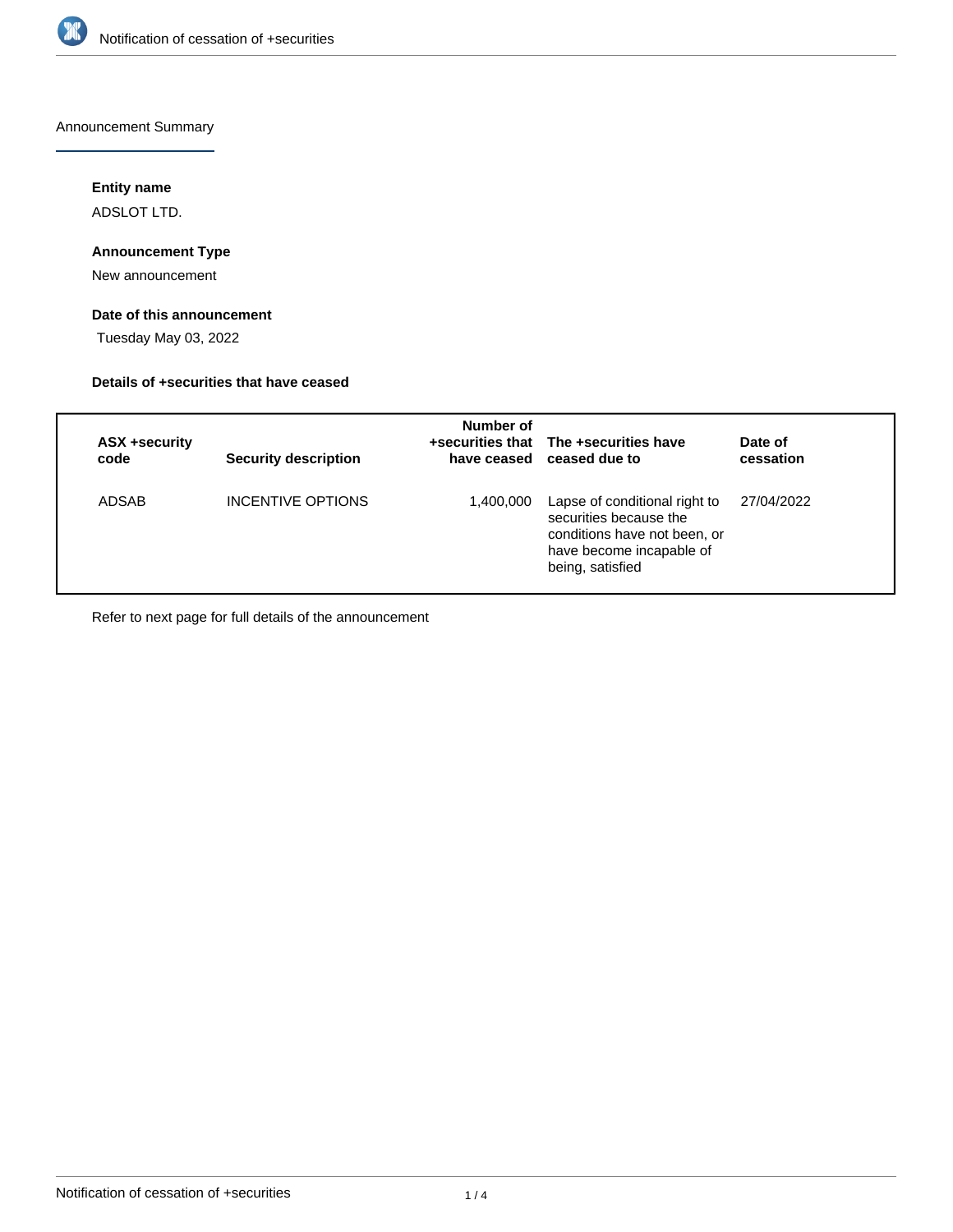

Announcement Summary

## **Entity name**

ADSLOT LTD.

### **Announcement Type**

New announcement

## **Date of this announcement**

Tuesday May 03, 2022

### **Details of +securities that have ceased**

| ASX +security<br>code | <b>Security description</b> | Number of | +securities that The +securities have<br>have ceased ceased due to                                                                      | Date of<br>cessation |
|-----------------------|-----------------------------|-----------|-----------------------------------------------------------------------------------------------------------------------------------------|----------------------|
| ADSAB                 | INCENTIVE OPTIONS           | 1,400,000 | Lapse of conditional right to<br>securities because the<br>conditions have not been, or<br>have become incapable of<br>being, satisfied | 27/04/2022           |

Refer to next page for full details of the announcement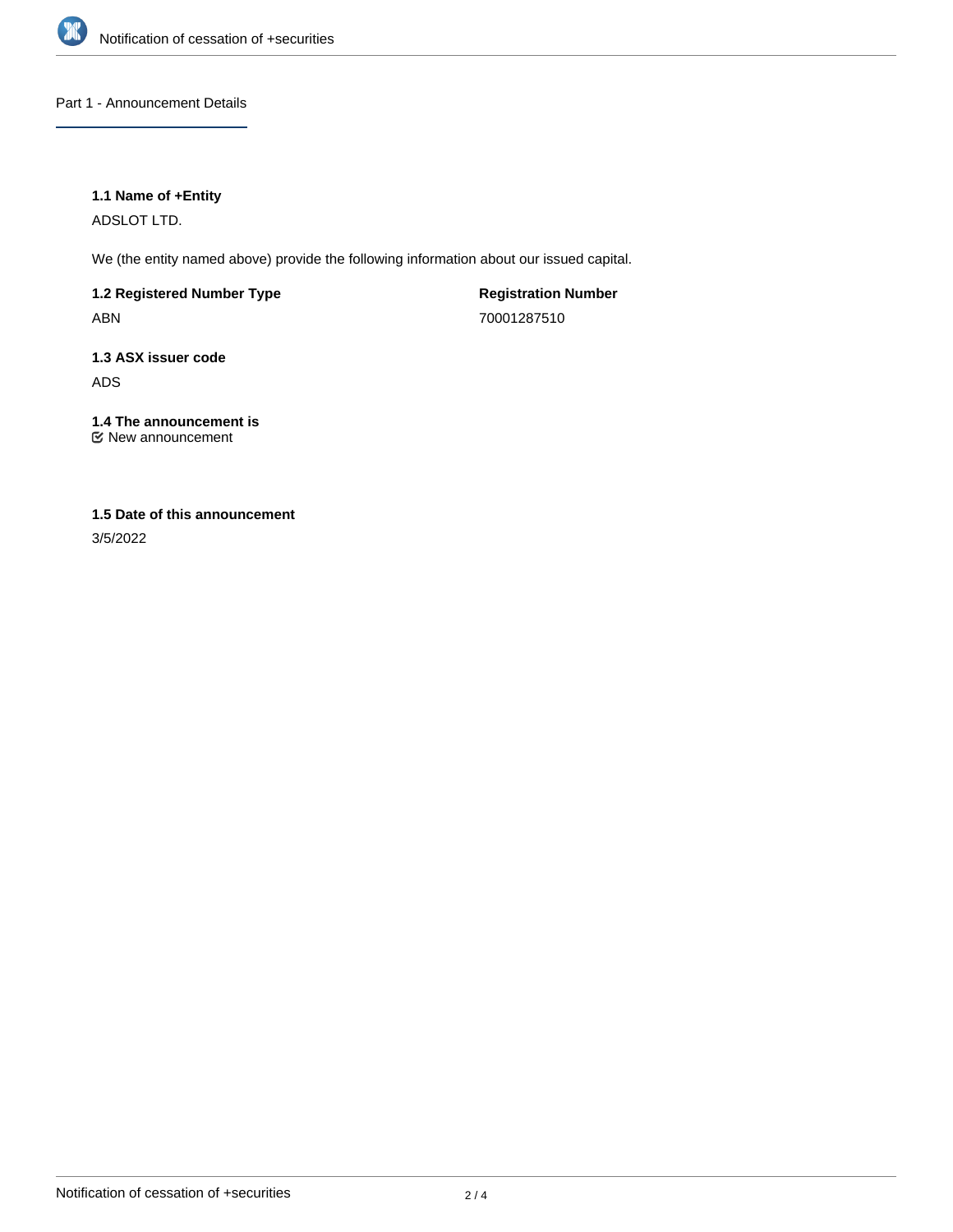

Part 1 - Announcement Details

### **1.1 Name of +Entity**

ADSLOT LTD.

We (the entity named above) provide the following information about our issued capital.

**1.2 Registered Number Type** ABN

**Registration Number** 70001287510

**1.3 ASX issuer code** ADS

**1.4 The announcement is** New announcement

# **1.5 Date of this announcement**

3/5/2022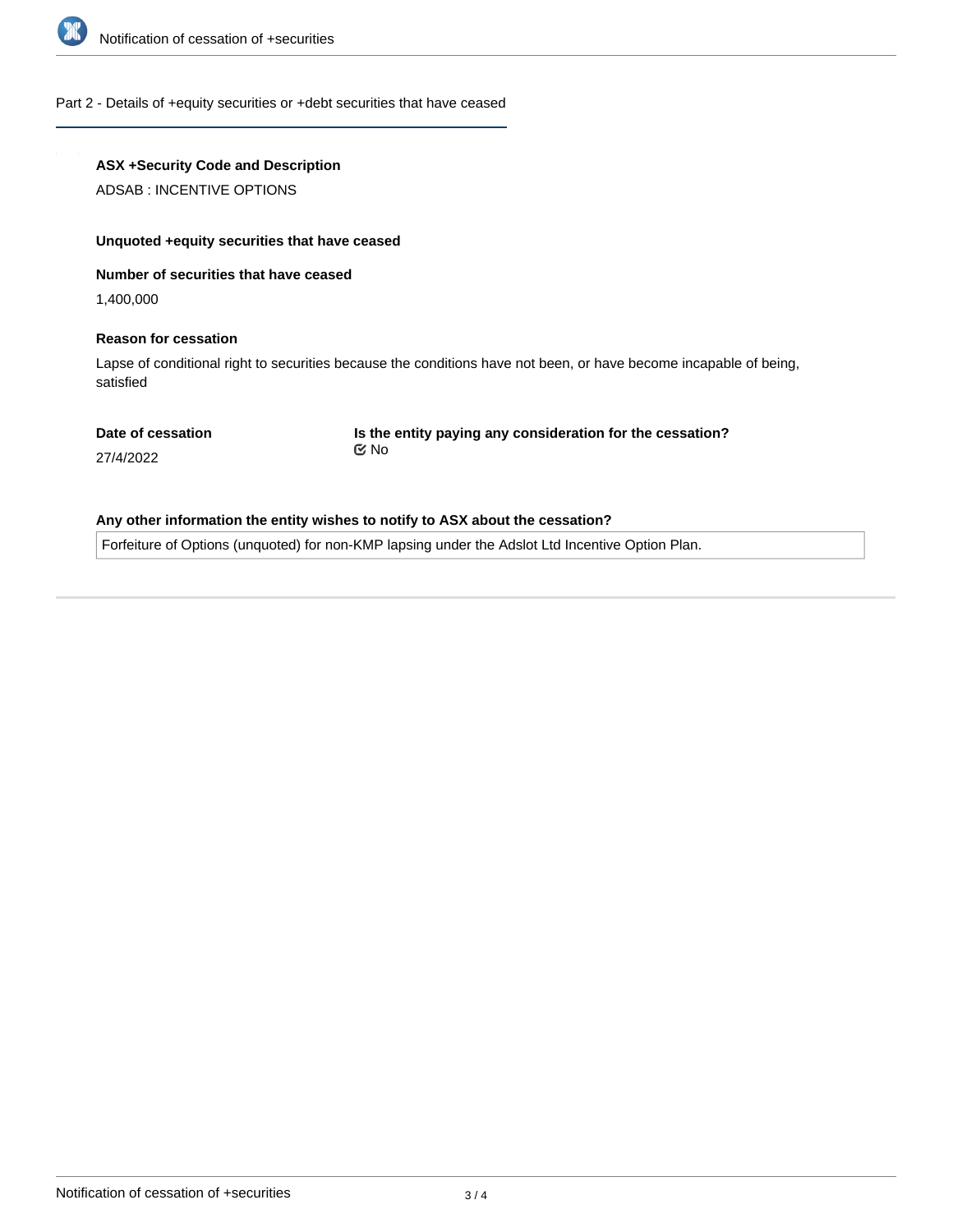

#### Part 2 - Details of +equity securities or +debt securities that have ceased

### **ASX +Security Code and Description**

ADSAB : INCENTIVE OPTIONS

#### **Unquoted +equity securities that have ceased**

#### **Number of securities that have ceased**

1,400,000

#### **Reason for cessation**

Lapse of conditional right to securities because the conditions have not been, or have become incapable of being, satisfied

#### **Date of cessation**

**Is the entity paying any consideration for the cessation?** No

27/4/2022

### **Any other information the entity wishes to notify to ASX about the cessation?**

Forfeiture of Options (unquoted) for non-KMP lapsing under the Adslot Ltd Incentive Option Plan.